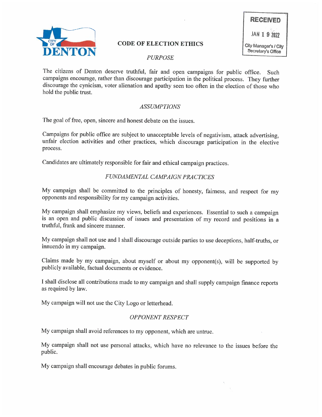

# CODE OF ELECTION ETHICS City Manager's / City

# PURPOSE

The citizens of Denton deserve truthful, fair and open campaigns for public office. Such campaigns encourage, rather than discourage participation in the political process. They further discourage the cynicism, voter alienation and apathy seen too often in the election of those who hold the public trust.

#### ASSUMPTIONS

The goal of free, open, sincere and honest debate on the issues.

Campaigns for public office are subject to unacceptable levels of negativism, attack advertising, unfair election activities and other practices, which discourage participation in the elective process.

Candidates are ultimately responsible for fair and ethical campaign practices.

## FUNDAMENTAL CAMPAIGN PRACTICES

My campaign shall be committed to the principles of honesty, fairness, and respect for my opponents and responsibility for my campaign activities.

My campaign shall emphasize my views, beliefs and experiences. Essential to such a campaign is an open and public discussion of issues and presentation of my record and positions in a truthful, frank and sincere manner.

My campaign shall not use and I shall discourage outside parties to use deceptions, half-truths, or innuendo in my campaign.

Claims made by my campaign, about myself or about my opponent(s), will be supported by publicly available, factual documents or evidence.

I shall disclose all contributions made to my campaign and shall supply campaign finance reports as required by law.

My campaign will not use the City Logo or letterhead.

## OPPONENT RESPECT

My campaign shall avoid references to my opponent, which are untrue.

My campaign shall not use personal attacks, which have no relevance to the issues before the public.

My campaign shall encourage debates in public forums.